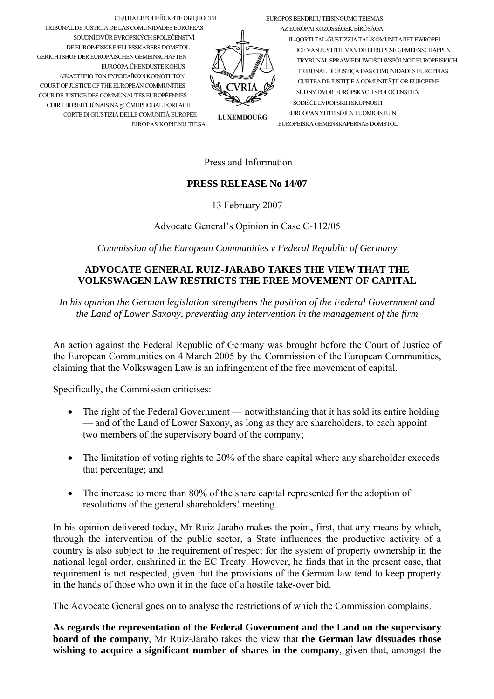EUROPOS BENDRIJU TEISINGUMO TEISMAS

СЪД НА ЕВРОПЕЙСКИТЕ ОБЩНОСТИ TRIBUNAL DE JUSTICIA DE LAS COMUNIDADES EUROPEAS SOUDNÍ DVŮR EVROPSKÝCH SPOLEČENSTVÍ DE EUROPÆISKE FÆLLESSKABERS DOMSTOL **GERICHTSHOF DER ELIROPÄISCHEN GEMEINSCHAFTEN** EUROOPA ÜHENDUSTE KOHUS ΔΙΚΑΣΤΗΡΙΟ ΤΩΝ ΕΥΡΩΠΑΪΚΩΝ ΚΟΙΝΟΤΗΤΩΝ COURT OF JUSTICE OF THE EUROPEAN COMMUNITIES COUR DE JUSTICE DES COMMUNAUTÉS EUROPÉENNES CÚIRT BHREITHIÚNAIS NA gCÓMHPHOBAL EORPACH CORTE DI GIUSTIZIA DELLE COMUNITÀ EUROPEE EIROPAS KOPIENU TIESA

AZ EURÓPAI KÖZÖSSÉGEK BÍRÓSÁGA IL-QORTI TAL-GUSTIZZJA TAL-KOMUNITAJIET EWROPEJ HOF VAN II ISTITTE VAN DE EI IROPESE GEMEENSCHAPPEN TRYBUNAŁ SPRAWIEDLIWOŚCI WSPÓLNOT EUROPEJSKICH TRIBUNAL DE JUSTICA DAS COMUNIDADES EUROPEIAS CURTEA DE JUSTITIE A COMUNITĂTILOR EUROPENE SÚDNY DVOR EURÓPSKYCH SPOLOČENSTIEV SODIŠČE EVROPSKIH SKUPNOSTI EUROOPAN YHTEISÖJEN TUOMIOISTUIN EUROPEISKA GEMENSKAPERNAS DOMSTOL

**LUXEMBOURG** 

## Press and Information

## **PRESS RELEASE No 14/07**

13 February 2007

Advocate General's Opinion in Case C-112/05

Commission of the European Communities v Federal Republic of Germany

## ADVOCATE GENERAL RUIZ-JARABO TAKES THE VIEW THAT THE **VOLKSWAGEN LAW RESTRICTS THE FREE MOVEMENT OF CAPITAL**

In his opinion the German legislation strengthens the position of the Federal Government and the Land of Lower Saxony, preventing any intervention in the management of the firm

An action against the Federal Republic of Germany was brought before the Court of Justice of the European Communities on 4 March 2005 by the Commission of the European Communities, claiming that the Volkswagen Law is an infringement of the free movement of capital.

Specifically, the Commission criticises:

- The right of the Federal Government notwithstanding that it has sold its entire holding — and of the Land of Lower Saxony, as long as they are shareholders, to each appoint two members of the supervisory board of the company;
- The limitation of voting rights to 20% of the share capital where any shareholder exceeds that percentage; and
- The increase to more than 80% of the share capital represented for the adoption of  $\bullet$ resolutions of the general shareholders' meeting.

In his opinion delivered today, Mr Ruiz-Jarabo makes the point, first, that any means by which, through the intervention of the public sector, a State influences the productive activity of a country is also subject to the requirement of respect for the system of property ownership in the national legal order, enshrined in the EC Treaty. However, he finds that in the present case, that requirement is not respected, given that the provisions of the German law tend to keep property in the hands of those who own it in the face of a hostile take-over bid.

The Advocate General goes on to analyse the restrictions of which the Commission complains.

As regards the representation of the Federal Government and the Land on the supervisory board of the company, Mr Ruiz-Jarabo takes the view that the German law dissuades those wishing to acquire a significant number of shares in the company, given that, amongst the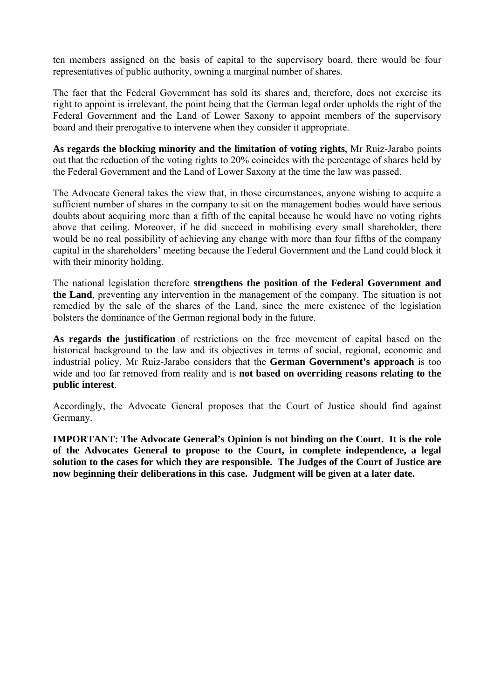ten members assigned on the basis of capital to the supervisory board, there would be four representatives of public authority, owning a marginal number of shares.

The fact that the Federal Government has sold its shares and, therefore, does not exercise its right to appoint is irrelevant, the point being that the German legal order upholds the right of the Federal Government and the Land of Lower Saxony to appoint members of the supervisory board and their prerogative to intervene when they consider it appropriate.

**As regards the blocking minority and the limitation of voting rights**, Mr Ruiz-Jarabo points out that the reduction of the voting rights to 20% coincides with the percentage of shares held by the Federal Government and the Land of Lower Saxony at the time the law was passed.

The Advocate General takes the view that, in those circumstances, anyone wishing to acquire a sufficient number of shares in the company to sit on the management bodies would have serious doubts about acquiring more than a fifth of the capital because he would have no voting rights above that ceiling. Moreover, if he did succeed in mobilising every small shareholder, there would be no real possibility of achieving any change with more than four fifths of the company capital in the shareholders' meeting because the Federal Government and the Land could block it with their minority holding.

The national legislation therefore **strengthens the position of the Federal Government and the Land**, preventing any intervention in the management of the company. The situation is not remedied by the sale of the shares of the Land, since the mere existence of the legislation bolsters the dominance of the German regional body in the future.

**As regards the justification** of restrictions on the free movement of capital based on the historical background to the law and its objectives in terms of social, regional, economic and industrial policy, Mr Ruiz-Jarabo considers that the **German Government's approach** is too wide and too far removed from reality and is **not based on overriding reasons relating to the public interest**.

Accordingly, the Advocate General proposes that the Court of Justice should find against Germany.

**IMPORTANT: The Advocate General's Opinion is not binding on the Court. It is the role of the Advocates General to propose to the Court, in complete independence, a legal solution to the cases for which they are responsible. The Judges of the Court of Justice are now beginning their deliberations in this case. Judgment will be given at a later date.**